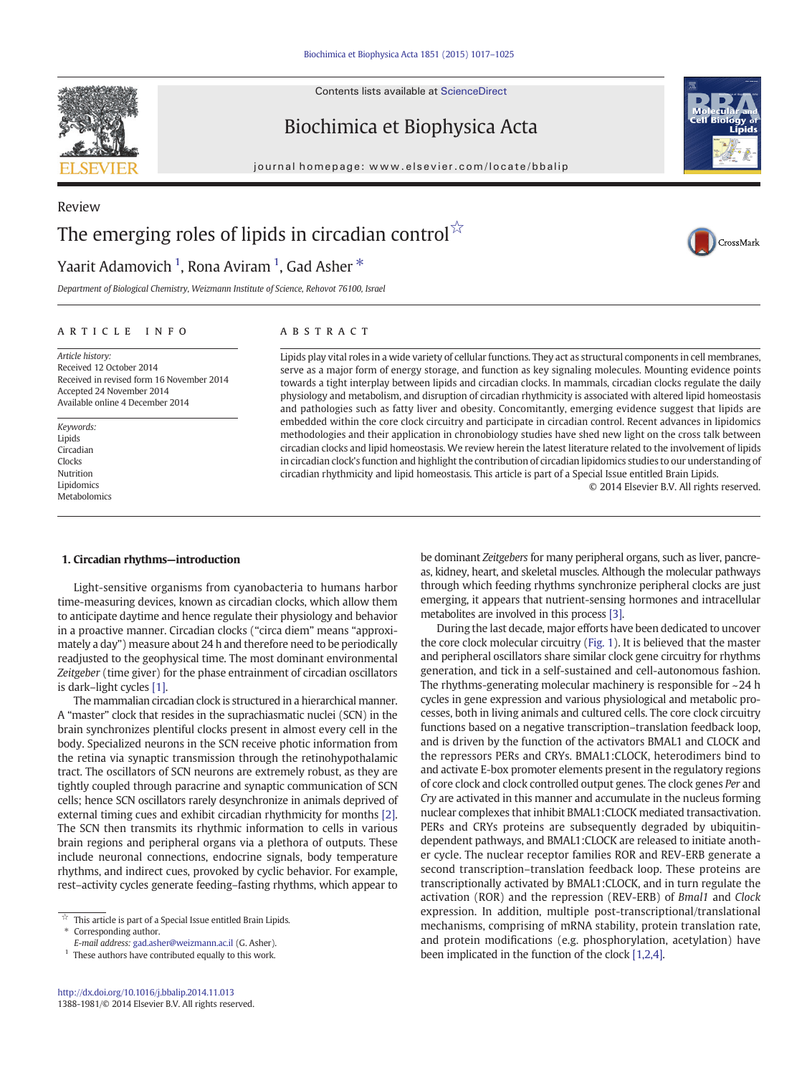Contents lists available at ScienceDirect



Review

Biochimica et Biophysica Acta





CrossMark

# The emerging roles of lipids in circadian control $\hat{X}$

## Yaarit Adamovich <sup>1</sup>, Rona Aviram <sup>1</sup>, Gad Asher  $^\ast$

Department of Biological Chemistry, Weizmann Institute of Science, Rehovot 76100, Israel

### article info abstract

Article history: Received 12 October 2014 Received in revised form 16 November 2014 Accepted 24 November 2014 Available online 4 December 2014

Keywords: Lipids Circadian Clocks Nutrition Lipidomics Metabolomics

Lipids play vital roles in a wide variety of cellular functions. They act as structural components in cell membranes, serve as a major form of energy storage, and function as key signaling molecules. Mounting evidence points towards a tight interplay between lipids and circadian clocks. In mammals, circadian clocks regulate the daily physiology and metabolism, and disruption of circadian rhythmicity is associated with altered lipid homeostasis and pathologies such as fatty liver and obesity. Concomitantly, emerging evidence suggest that lipids are embedded within the core clock circuitry and participate in circadian control. Recent advances in lipidomics methodologies and their application in chronobiology studies have shed new light on the cross talk between circadian clocks and lipid homeostasis. We review herein the latest literature related to the involvement of lipids in circadian clock's function and highlight the contribution of circadian lipidomics studies to our understanding of circadian rhythmicity and lipid homeostasis. This article is part of a Special Issue entitled Brain Lipids.

© 2014 Elsevier B.V. All rights reserved.

### 1. Circadian rhythms—introduction

Light-sensitive organisms from cyanobacteria to humans harbor time-measuring devices, known as circadian clocks, which allow them to anticipate daytime and hence regulate their physiology and behavior in a proactive manner. Circadian clocks ("circa diem" means "approximately a day") measure about 24 h and therefore need to be periodically readjusted to the geophysical time. The most dominant environmental Zeitgeber (time giver) for the phase entrainment of circadian oscillators is dark–light cycles [\[1\]](#page-6-0).

The mammalian circadian clock is structured in a hierarchical manner. A "master" clock that resides in the suprachiasmatic nuclei (SCN) in the brain synchronizes plentiful clocks present in almost every cell in the body. Specialized neurons in the SCN receive photic information from the retina via synaptic transmission through the retinohypothalamic tract. The oscillators of SCN neurons are extremely robust, as they are tightly coupled through paracrine and synaptic communication of SCN cells; hence SCN oscillators rarely desynchronize in animals deprived of external timing cues and exhibit circadian rhythmicity for months [\[2\].](#page-6-0) The SCN then transmits its rhythmic information to cells in various brain regions and peripheral organs via a plethora of outputs. These include neuronal connections, endocrine signals, body temperature rhythms, and indirect cues, provoked by cyclic behavior. For example, rest–activity cycles generate feeding–fasting rhythms, which appear to

be dominant Zeitgebers for many peripheral organs, such as liver, pancreas, kidney, heart, and skeletal muscles. Although the molecular pathways through which feeding rhythms synchronize peripheral clocks are just emerging, it appears that nutrient-sensing hormones and intracellular metabolites are involved in this process [\[3\]](#page-6-0).

During the last decade, major efforts have been dedicated to uncover the core clock molecular circuitry [\(Fig. 1\)](#page-1-0). It is believed that the master and peripheral oscillators share similar clock gene circuitry for rhythms generation, and tick in a self-sustained and cell-autonomous fashion. The rhythms-generating molecular machinery is responsible for ~24 h cycles in gene expression and various physiological and metabolic processes, both in living animals and cultured cells. The core clock circuitry functions based on a negative transcription–translation feedback loop, and is driven by the function of the activators BMAL1 and CLOCK and the repressors PERs and CRYs. BMAL1:CLOCK, heterodimers bind to and activate E-box promoter elements present in the regulatory regions of core clock and clock controlled output genes. The clock genes Per and Cry are activated in this manner and accumulate in the nucleus forming nuclear complexes that inhibit BMAL1:CLOCK mediated transactivation. PERs and CRYs proteins are subsequently degraded by ubiquitindependent pathways, and BMAL1:CLOCK are released to initiate another cycle. The nuclear receptor families ROR and REV-ERB generate a second transcription–translation feedback loop. These proteins are transcriptionally activated by BMAL1:CLOCK, and in turn regulate the activation (ROR) and the repression (REV-ERB) of Bmal1 and Clock expression. In addition, multiple post-transcriptional/translational mechanisms, comprising of mRNA stability, protein translation rate, and protein modifications (e.g. phosphorylation, acetylation) have been implicated in the function of the clock [\[1,2,4\]](#page-6-0).

 $\overrightarrow{a}$  This article is part of a Special Issue entitled Brain Lipids.

Corresponding author.

E-mail address: [gad.asher@weizmann.ac.il](mailto:gad.asher@weizmann.ac.il) (G. Asher).

 $^{\rm 1}$  These authors have contributed equally to this work.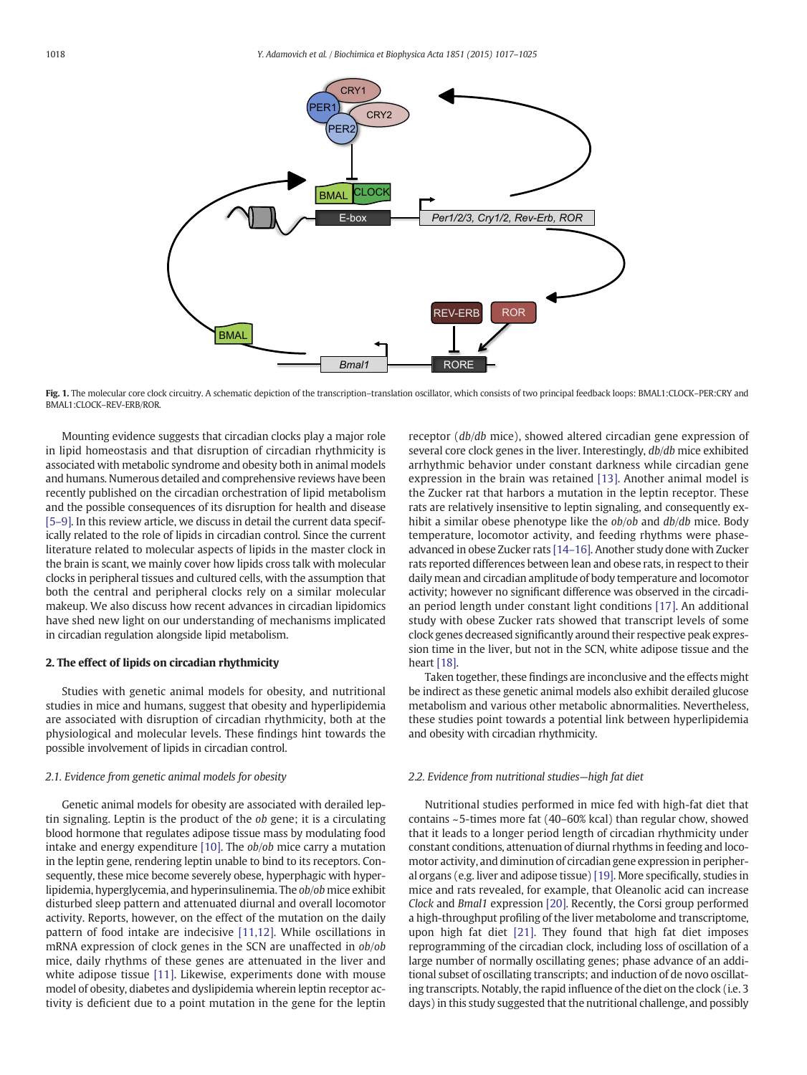<span id="page-1-0"></span>

Fig. 1. The molecular core clock circuitry. A schematic depiction of the transcription-translation oscillator, which consists of two principal feedback loops: BMAL1:CLOCK-PER:CRY and BMAL1:CLOCK–REV-ERB/ROR.

Mounting evidence suggests that circadian clocks play a major role in lipid homeostasis and that disruption of circadian rhythmicity is associated with metabolic syndrome and obesity both in animal models and humans. Numerous detailed and comprehensive reviews have been recently published on the circadian orchestration of lipid metabolism and the possible consequences of its disruption for health and disease [\[5](#page-6-0)–9]. In this review article, we discuss in detail the current data specifically related to the role of lipids in circadian control. Since the current literature related to molecular aspects of lipids in the master clock in the brain is scant, we mainly cover how lipids cross talk with molecular clocks in peripheral tissues and cultured cells, with the assumption that both the central and peripheral clocks rely on a similar molecular makeup. We also discuss how recent advances in circadian lipidomics have shed new light on our understanding of mechanisms implicated in circadian regulation alongside lipid metabolism.

#### 2. The effect of lipids on circadian rhythmicity

Studies with genetic animal models for obesity, and nutritional studies in mice and humans, suggest that obesity and hyperlipidemia are associated with disruption of circadian rhythmicity, both at the physiological and molecular levels. These findings hint towards the possible involvement of lipids in circadian control.

#### 2.1. Evidence from genetic animal models for obesity

Genetic animal models for obesity are associated with derailed leptin signaling. Leptin is the product of the ob gene; it is a circulating blood hormone that regulates adipose tissue mass by modulating food intake and energy expenditure [\[10\].](#page-6-0) The ob/ob mice carry a mutation in the leptin gene, rendering leptin unable to bind to its receptors. Consequently, these mice become severely obese, hyperphagic with hyperlipidemia, hyperglycemia, and hyperinsulinemia. The ob/ob mice exhibit disturbed sleep pattern and attenuated diurnal and overall locomotor activity. Reports, however, on the effect of the mutation on the daily pattern of food intake are indecisive [\[11,12\]](#page-6-0). While oscillations in mRNA expression of clock genes in the SCN are unaffected in ob/ob mice, daily rhythms of these genes are attenuated in the liver and white adipose tissue [\[11\]](#page-6-0). Likewise, experiments done with mouse model of obesity, diabetes and dyslipidemia wherein leptin receptor activity is deficient due to a point mutation in the gene for the leptin

receptor (db/db mice), showed altered circadian gene expression of several core clock genes in the liver. Interestingly,  $db/db$  mice exhibited arrhythmic behavior under constant darkness while circadian gene expression in the brain was retained [\[13\]](#page-6-0). Another animal model is the Zucker rat that harbors a mutation in the leptin receptor. These rats are relatively insensitive to leptin signaling, and consequently exhibit a similar obese phenotype like the *ob*/*ob* and *db*/*db* mice. Body temperature, locomotor activity, and feeding rhythms were phaseadvanced in obese Zucker rats [\[14](#page-6-0)–16]. Another study done with Zucker rats reported differences between lean and obese rats, in respect to their daily mean and circadian amplitude of body temperature and locomotor activity; however no significant difference was observed in the circadian period length under constant light conditions [\[17\].](#page-6-0) An additional study with obese Zucker rats showed that transcript levels of some clock genes decreased significantly around their respective peak expression time in the liver, but not in the SCN, white adipose tissue and the heart [\[18\].](#page-6-0)

Taken together, these findings are inconclusive and the effects might be indirect as these genetic animal models also exhibit derailed glucose metabolism and various other metabolic abnormalities. Nevertheless, these studies point towards a potential link between hyperlipidemia and obesity with circadian rhythmicity.

#### 2.2. Evidence from nutritional studies—high fat diet

Nutritional studies performed in mice fed with high-fat diet that contains ~5-times more fat (40–60% kcal) than regular chow, showed that it leads to a longer period length of circadian rhythmicity under constant conditions, attenuation of diurnal rhythms in feeding and locomotor activity, and diminution of circadian gene expression in peripheral organs (e.g. liver and adipose tissue) [\[19\].](#page-6-0) More specifically, studies in mice and rats revealed, for example, that Oleanolic acid can increase Clock and Bmal1 expression [\[20\].](#page-6-0) Recently, the Corsi group performed a high-throughput profiling of the liver metabolome and transcriptome, upon high fat diet [\[21\]](#page-6-0). They found that high fat diet imposes reprogramming of the circadian clock, including loss of oscillation of a large number of normally oscillating genes; phase advance of an additional subset of oscillating transcripts; and induction of de novo oscillating transcripts. Notably, the rapid influence of the diet on the clock (i.e. 3 days) in this study suggested that the nutritional challenge, and possibly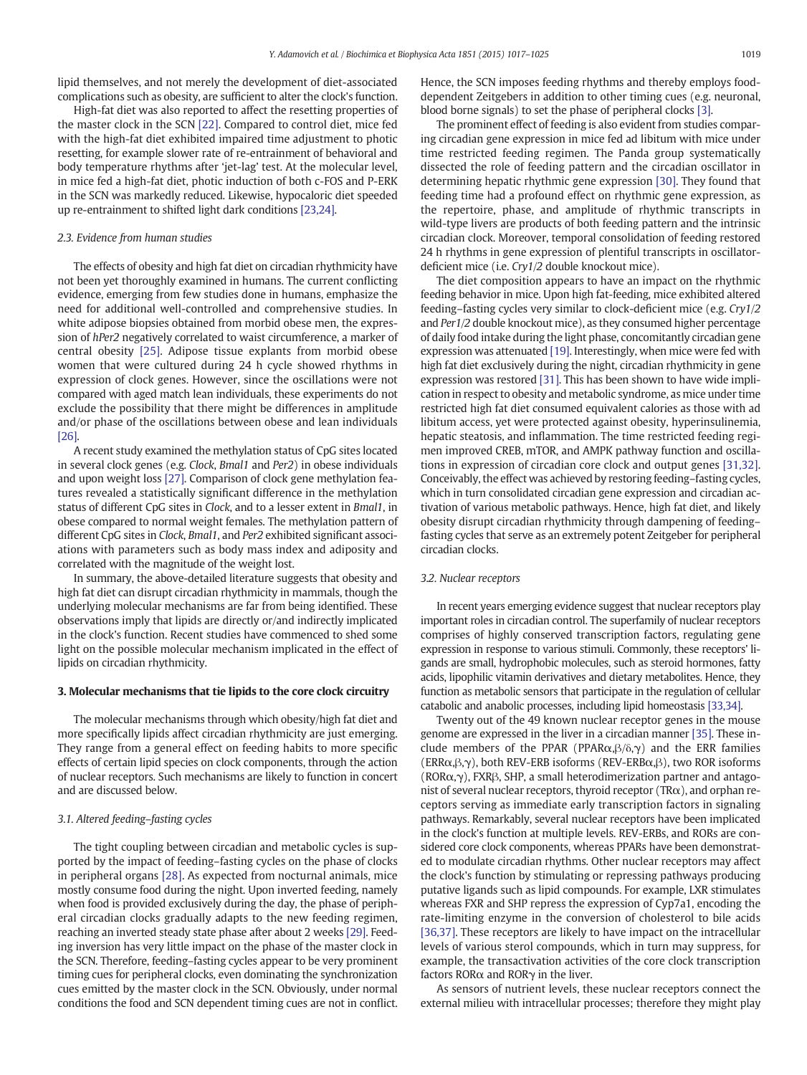lipid themselves, and not merely the development of diet-associated complications such as obesity, are sufficient to alter the clock's function.

High-fat diet was also reported to affect the resetting properties of the master clock in the SCN [\[22\]](#page-6-0). Compared to control diet, mice fed with the high-fat diet exhibited impaired time adjustment to photic resetting, for example slower rate of re-entrainment of behavioral and body temperature rhythms after 'jet-lag' test. At the molecular level, in mice fed a high-fat diet, photic induction of both c-FOS and P-ERK in the SCN was markedly reduced. Likewise, hypocaloric diet speeded up re-entrainment to shifted light dark conditions [\[23,24\].](#page-6-0)

#### 2.3. Evidence from human studies

The effects of obesity and high fat diet on circadian rhythmicity have not been yet thoroughly examined in humans. The current conflicting evidence, emerging from few studies done in humans, emphasize the need for additional well-controlled and comprehensive studies. In white adipose biopsies obtained from morbid obese men, the expression of hPer2 negatively correlated to waist circumference, a marker of central obesity [\[25\]](#page-6-0). Adipose tissue explants from morbid obese women that were cultured during 24 h cycle showed rhythms in expression of clock genes. However, since the oscillations were not compared with aged match lean individuals, these experiments do not exclude the possibility that there might be differences in amplitude and/or phase of the oscillations between obese and lean individuals [\[26\].](#page-6-0)

A recent study examined the methylation status of CpG sites located in several clock genes (e.g. Clock, Bmal1 and Per2) in obese individuals and upon weight loss [\[27\].](#page-6-0) Comparison of clock gene methylation features revealed a statistically significant difference in the methylation status of different CpG sites in Clock, and to a lesser extent in Bmal1, in obese compared to normal weight females. The methylation pattern of different CpG sites in Clock, Bmal1, and Per2 exhibited significant associations with parameters such as body mass index and adiposity and correlated with the magnitude of the weight lost.

In summary, the above-detailed literature suggests that obesity and high fat diet can disrupt circadian rhythmicity in mammals, though the underlying molecular mechanisms are far from being identified. These observations imply that lipids are directly or/and indirectly implicated in the clock's function. Recent studies have commenced to shed some light on the possible molecular mechanism implicated in the effect of lipids on circadian rhythmicity.

#### 3. Molecular mechanisms that tie lipids to the core clock circuitry

The molecular mechanisms through which obesity/high fat diet and more specifically lipids affect circadian rhythmicity are just emerging. They range from a general effect on feeding habits to more specific effects of certain lipid species on clock components, through the action of nuclear receptors. Such mechanisms are likely to function in concert and are discussed below.

#### 3.1. Altered feeding–fasting cycles

The tight coupling between circadian and metabolic cycles is supported by the impact of feeding–fasting cycles on the phase of clocks in peripheral organs [\[28\]](#page-7-0). As expected from nocturnal animals, mice mostly consume food during the night. Upon inverted feeding, namely when food is provided exclusively during the day, the phase of peripheral circadian clocks gradually adapts to the new feeding regimen, reaching an inverted steady state phase after about 2 weeks [\[29\]](#page-7-0). Feeding inversion has very little impact on the phase of the master clock in the SCN. Therefore, feeding–fasting cycles appear to be very prominent timing cues for peripheral clocks, even dominating the synchronization cues emitted by the master clock in the SCN. Obviously, under normal conditions the food and SCN dependent timing cues are not in conflict. Hence, the SCN imposes feeding rhythms and thereby employs fooddependent Zeitgebers in addition to other timing cues (e.g. neuronal, blood borne signals) to set the phase of peripheral clocks [\[3\].](#page-6-0)

The prominent effect of feeding is also evident from studies comparing circadian gene expression in mice fed ad libitum with mice under time restricted feeding regimen. The Panda group systematically dissected the role of feeding pattern and the circadian oscillator in determining hepatic rhythmic gene expression [\[30\]](#page-7-0). They found that feeding time had a profound effect on rhythmic gene expression, as the repertoire, phase, and amplitude of rhythmic transcripts in wild-type livers are products of both feeding pattern and the intrinsic circadian clock. Moreover, temporal consolidation of feeding restored 24 h rhythms in gene expression of plentiful transcripts in oscillatordeficient mice (i.e. Cry1/2 double knockout mice).

The diet composition appears to have an impact on the rhythmic feeding behavior in mice. Upon high fat-feeding, mice exhibited altered feeding–fasting cycles very similar to clock-deficient mice (e.g. Cry1/2 and Per1/2 double knockout mice), as they consumed higher percentage of daily food intake during the light phase, concomitantly circadian gene expression was attenuated [\[19\]](#page-6-0). Interestingly, when mice were fed with high fat diet exclusively during the night, circadian rhythmicity in gene expression was restored [\[31\].](#page-7-0) This has been shown to have wide implication in respect to obesity and metabolic syndrome, as mice under time restricted high fat diet consumed equivalent calories as those with ad libitum access, yet were protected against obesity, hyperinsulinemia, hepatic steatosis, and inflammation. The time restricted feeding regimen improved CREB, mTOR, and AMPK pathway function and oscillations in expression of circadian core clock and output genes [\[31,32\].](#page-7-0) Conceivably, the effect was achieved by restoring feeding–fasting cycles, which in turn consolidated circadian gene expression and circadian activation of various metabolic pathways. Hence, high fat diet, and likely obesity disrupt circadian rhythmicity through dampening of feeding– fasting cycles that serve as an extremely potent Zeitgeber for peripheral circadian clocks.

#### 3.2. Nuclear receptors

In recent years emerging evidence suggest that nuclear receptors play important roles in circadian control. The superfamily of nuclear receptors comprises of highly conserved transcription factors, regulating gene expression in response to various stimuli. Commonly, these receptors' ligands are small, hydrophobic molecules, such as steroid hormones, fatty acids, lipophilic vitamin derivatives and dietary metabolites. Hence, they function as metabolic sensors that participate in the regulation of cellular catabolic and anabolic processes, including lipid homeostasis [\[33,34\].](#page-7-0)

Twenty out of the 49 known nuclear receptor genes in the mouse genome are expressed in the liver in a circadian manner [\[35\]](#page-7-0). These include members of the PPAR (PPAR $\alpha, \beta, \delta, \gamma$ ) and the ERR families (ERRα,β,γ), both REV-ERB isoforms (REV-ERBα,β), two ROR isoforms (RORα,γ), FXRβ, SHP, a small heterodimerization partner and antagonist of several nuclear receptors, thyroid receptor (TRα), and orphan receptors serving as immediate early transcription factors in signaling pathways. Remarkably, several nuclear receptors have been implicated in the clock's function at multiple levels. REV-ERBs, and RORs are considered core clock components, whereas PPARs have been demonstrated to modulate circadian rhythms. Other nuclear receptors may affect the clock's function by stimulating or repressing pathways producing putative ligands such as lipid compounds. For example, LXR stimulates whereas FXR and SHP repress the expression of Cyp7a1, encoding the rate-limiting enzyme in the conversion of cholesterol to bile acids [\[36,37\]](#page-7-0). These receptors are likely to have impact on the intracellular levels of various sterol compounds, which in turn may suppress, for example, the transactivation activities of the core clock transcription factors RORα and RORγ in the liver.

As sensors of nutrient levels, these nuclear receptors connect the external milieu with intracellular processes; therefore they might play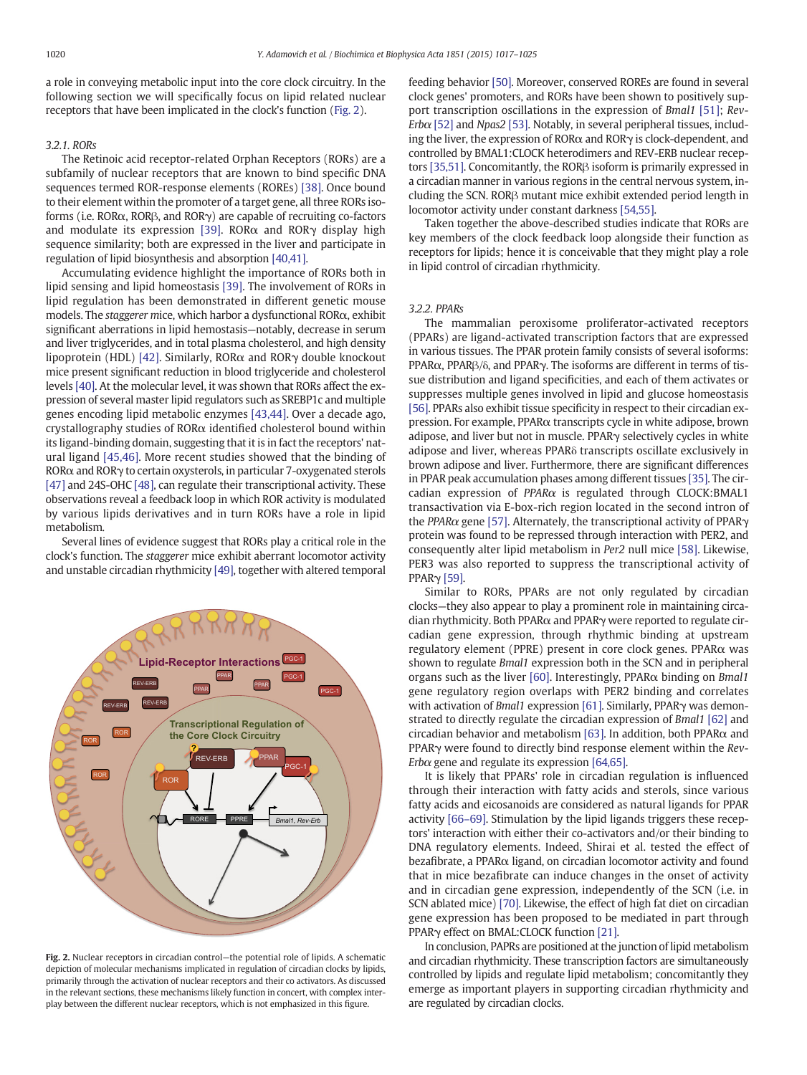a role in conveying metabolic input into the core clock circuitry. In the following section we will specifically focus on lipid related nuclear receptors that have been implicated in the clock's function (Fig. 2).

#### 3.2.1. RORs

The Retinoic acid receptor-related Orphan Receptors (RORs) are a subfamily of nuclear receptors that are known to bind specific DNA sequences termed ROR-response elements (ROREs) [\[38\]](#page-7-0). Once bound to their element within the promoter of a target gene, all three RORs isoforms (i.e. RORα, RORβ, and RORγ) are capable of recruiting co-factors and modulate its expression [\[39\]](#page-7-0). ROR $\alpha$  and ROR $\gamma$  display high sequence similarity; both are expressed in the liver and participate in regulation of lipid biosynthesis and absorption [\[40,41\].](#page-7-0)

Accumulating evidence highlight the importance of RORs both in lipid sensing and lipid homeostasis [\[39\]](#page-7-0). The involvement of RORs in lipid regulation has been demonstrated in different genetic mouse models. The staggerer mice, which harbor a dysfunctional RORα, exhibit significant aberrations in lipid hemostasis—notably, decrease in serum and liver triglycerides, and in total plasma cholesterol, and high density lipoprotein (HDL) [\[42\].](#page-7-0) Similarly, RORα and RORγ double knockout mice present significant reduction in blood triglyceride and cholesterol levels [\[40\].](#page-7-0) At the molecular level, it was shown that RORs affect the expression of several master lipid regulators such as SREBP1c and multiple genes encoding lipid metabolic enzymes [\[43,44\]](#page-7-0). Over a decade ago, crystallography studies of RORα identified cholesterol bound within its ligand-binding domain, suggesting that it is in fact the receptors' natural ligand [\[45,46\]](#page-7-0). More recent studies showed that the binding of RORα and RORγ to certain oxysterols, in particular 7-oxygenated sterols [\[47\]](#page-7-0) and 24S-OHC [\[48\]](#page-7-0), can regulate their transcriptional activity. These observations reveal a feedback loop in which ROR activity is modulated by various lipids derivatives and in turn RORs have a role in lipid metabolism.

Several lines of evidence suggest that RORs play a critical role in the clock's function. The staggerer mice exhibit aberrant locomotor activity and unstable circadian rhythmicity [\[49\]](#page-7-0), together with altered temporal



Fig. 2. Nuclear receptors in circadian control—the potential role of lipids. A schematic depiction of molecular mechanisms implicated in regulation of circadian clocks by lipids, primarily through the activation of nuclear receptors and their co activators. As discussed in the relevant sections, these mechanisms likely function in concert, with complex interplay between the different nuclear receptors, which is not emphasized in this figure.

feeding behavior [\[50\].](#page-7-0) Moreover, conserved ROREs are found in several clock genes' promoters, and RORs have been shown to positively support transcription oscillations in the expression of Bmal1 [\[51\]](#page-7-0); Rev-Erb $\alpha$  [\[52\]](#page-7-0) and Npas2 [\[53\].](#page-7-0) Notably, in several peripheral tissues, including the liver, the expression of RORα and RORγ is clock-dependent, and controlled by BMAL1:CLOCK heterodimers and REV-ERB nuclear receptors [\[35,51\]](#page-7-0). Concomitantly, the RORβ isoform is primarily expressed in a circadian manner in various regions in the central nervous system, including the SCN. RORβ mutant mice exhibit extended period length in locomotor activity under constant darkness [\[54,55\].](#page-7-0)

Taken together the above-described studies indicate that RORs are key members of the clock feedback loop alongside their function as receptors for lipids; hence it is conceivable that they might play a role in lipid control of circadian rhythmicity.

#### 3.2.2. PPARs

The mammalian peroxisome proliferator-activated receptors (PPARs) are ligand-activated transcription factors that are expressed in various tissues. The PPAR protein family consists of several isoforms: PPARα, PPARβ/δ, and PPARγ. The isoforms are different in terms of tissue distribution and ligand specificities, and each of them activates or suppresses multiple genes involved in lipid and glucose homeostasis [\[56\]](#page-7-0). PPARs also exhibit tissue specificity in respect to their circadian expression. For example, PPARα transcripts cycle in white adipose, brown adipose, and liver but not in muscle. PPARγ selectively cycles in white adipose and liver, whereas PPARδ transcripts oscillate exclusively in brown adipose and liver. Furthermore, there are significant differences in PPAR peak accumulation phases among different tissues [\[35\]](#page-7-0). The circadian expression of PPARα is regulated through CLOCK:BMAL1 transactivation via E-box-rich region located in the second intron of the PPARα gene [\[57\].](#page-7-0) Alternately, the transcriptional activity of PPARγ protein was found to be repressed through interaction with PER2, and consequently alter lipid metabolism in Per2 null mice [\[58\]](#page-7-0). Likewise, PER3 was also reported to suppress the transcriptional activity of PPARγ [\[59\].](#page-7-0)

Similar to RORs, PPARs are not only regulated by circadian clocks—they also appear to play a prominent role in maintaining circadian rhythmicity. Both PPARα and PPARγ were reported to regulate circadian gene expression, through rhythmic binding at upstream regulatory element (PPRE) present in core clock genes. PPARα was shown to regulate Bmal1 expression both in the SCN and in peripheral organs such as the liver [\[60\].](#page-7-0) Interestingly, PPAR $\alpha$  binding on *Bmal1* gene regulatory region overlaps with PER2 binding and correlates with activation of *Bmal1* expression [\[61\]](#page-7-0). Similarly, PPARγ was demonstrated to directly regulate the circadian expression of Bmal1 [\[62\]](#page-7-0) and circadian behavior and metabolism [\[63\].](#page-7-0) In addition, both PPAR $\alpha$  and PPARγ were found to directly bind response element within the Rev-Erb $\alpha$  gene and regulate its expression [\[64,65\].](#page-7-0)

It is likely that PPARs' role in circadian regulation is influenced through their interaction with fatty acids and sterols, since various fatty acids and eicosanoids are considered as natural ligands for PPAR activity [66–[69\].](#page-7-0) Stimulation by the lipid ligands triggers these receptors' interaction with either their co-activators and/or their binding to DNA regulatory elements. Indeed, Shirai et al. tested the effect of bezafibrate, a PPARα ligand, on circadian locomotor activity and found that in mice bezafibrate can induce changes in the onset of activity and in circadian gene expression, independently of the SCN (i.e. in SCN ablated mice) [\[70\].](#page-7-0) Likewise, the effect of high fat diet on circadian gene expression has been proposed to be mediated in part through PPARγ effect on BMAL:CLOCK function [\[21\]](#page-6-0).

In conclusion, PAPRs are positioned at the junction of lipid metabolism and circadian rhythmicity. These transcription factors are simultaneously controlled by lipids and regulate lipid metabolism; concomitantly they emerge as important players in supporting circadian rhythmicity and are regulated by circadian clocks.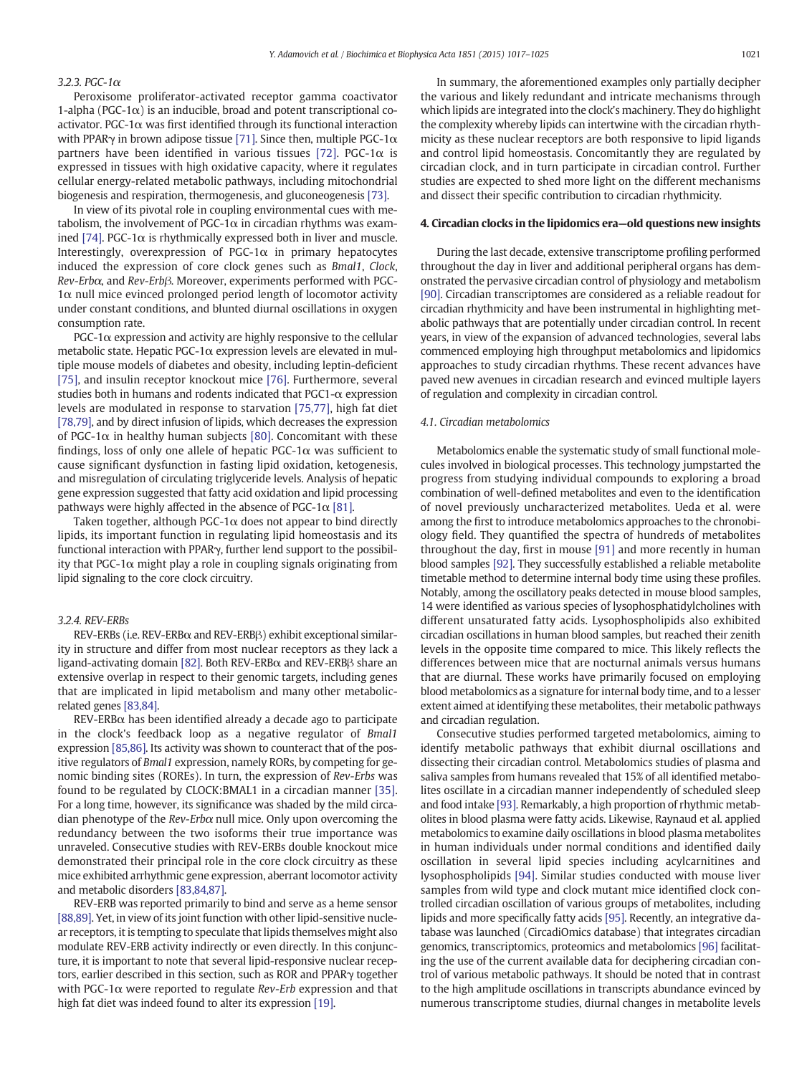#### $3.2.3$  PGC-1 $\alpha$

Peroxisome proliferator-activated receptor gamma coactivator 1-alpha ( $PGC-1\alpha$ ) is an inducible, broad and potent transcriptional coactivator. PGC-1 $\alpha$  was first identified through its functional interaction with PPAR $\gamma$  in brown adipose tissue [\[71\]](#page-7-0). Since then, multiple PGC-1 $\alpha$ partners have been identified in various tissues [\[72\]](#page-7-0). PGC-1 $\alpha$  is expressed in tissues with high oxidative capacity, where it regulates cellular energy-related metabolic pathways, including mitochondrial biogenesis and respiration, thermogenesis, and gluconeogenesis [\[73\].](#page-7-0)

In view of its pivotal role in coupling environmental cues with metabolism, the involvement of PGC-1 $\alpha$  in circadian rhythms was exam-ined [\[74\]](#page-7-0). PGC-1α is rhythmically expressed both in liver and muscle. Interestingly, overexpression of PGC-1 $\alpha$  in primary hepatocytes induced the expression of core clock genes such as Bmal1, Clock, Rev-Erbα, and Rev-Erbβ. Moreover, experiments performed with PGC- $1\alpha$  null mice evinced prolonged period length of locomotor activity under constant conditions, and blunted diurnal oscillations in oxygen consumption rate.

 $PGC-1\alpha$  expression and activity are highly responsive to the cellular metabolic state. Hepatic PGC-1 $\alpha$  expression levels are elevated in multiple mouse models of diabetes and obesity, including leptin-deficient [\[75\]](#page-7-0), and insulin receptor knockout mice [\[76\].](#page-7-0) Furthermore, several studies both in humans and rodents indicated that PGC1-α expression levels are modulated in response to starvation [\[75,77\],](#page-7-0) high fat diet [\[78,79\]](#page-7-0), and by direct infusion of lipids, which decreases the expression of PGC-1 $\alpha$  in healthy human subjects [\[80\]](#page-8-0). Concomitant with these findings, loss of only one allele of hepatic PGC-1 $\alpha$  was sufficient to cause significant dysfunction in fasting lipid oxidation, ketogenesis, and misregulation of circulating triglyceride levels. Analysis of hepatic gene expression suggested that fatty acid oxidation and lipid processing pathways were highly affected in the absence of PGC-1 $\alpha$  [\[81\]](#page-8-0).

Taken together, although PGC-1 $\alpha$  does not appear to bind directly lipids, its important function in regulating lipid homeostasis and its functional interaction with PPARγ, further lend support to the possibility that PGC-1 $\alpha$  might play a role in coupling signals originating from lipid signaling to the core clock circuitry.

#### 3.2.4. REV-ERBs

REV-ERBs (i.e. REV-ERBα and REV-ERBβ) exhibit exceptional similarity in structure and differ from most nuclear receptors as they lack a ligand-activating domain [\[82\].](#page-8-0) Both REV-ERBα and REV-ERBβ share an extensive overlap in respect to their genomic targets, including genes that are implicated in lipid metabolism and many other metabolicrelated genes [\[83,84\].](#page-8-0)

REV-ERBα has been identified already a decade ago to participate in the clock's feedback loop as a negative regulator of Bmal1 expression [\[85,86\].](#page-8-0) Its activity was shown to counteract that of the positive regulators of Bmal1 expression, namely RORs, by competing for genomic binding sites (ROREs). In turn, the expression of Rev-Erbs was found to be regulated by CLOCK:BMAL1 in a circadian manner [\[35\].](#page-7-0) For a long time, however, its significance was shaded by the mild circadian phenotype of the  $Rev-Erb\alpha$  null mice. Only upon overcoming the redundancy between the two isoforms their true importance was unraveled. Consecutive studies with REV-ERBs double knockout mice demonstrated their principal role in the core clock circuitry as these mice exhibited arrhythmic gene expression, aberrant locomotor activity and metabolic disorders [\[83,84,87\].](#page-8-0)

REV-ERB was reported primarily to bind and serve as a heme sensor [\[88,89\]](#page-8-0). Yet, in view of its joint function with other lipid-sensitive nuclear receptors, it is tempting to speculate that lipids themselves might also modulate REV-ERB activity indirectly or even directly. In this conjuncture, it is important to note that several lipid-responsive nuclear receptors, earlier described in this section, such as ROR and PPARγ together with PGC-1 $\alpha$  were reported to regulate Rev-Erb expression and that high fat diet was indeed found to alter its expression [\[19\].](#page-6-0)

In summary, the aforementioned examples only partially decipher the various and likely redundant and intricate mechanisms through which lipids are integrated into the clock's machinery. They do highlight the complexity whereby lipids can intertwine with the circadian rhythmicity as these nuclear receptors are both responsive to lipid ligands and control lipid homeostasis. Concomitantly they are regulated by circadian clock, and in turn participate in circadian control. Further studies are expected to shed more light on the different mechanisms and dissect their specific contribution to circadian rhythmicity.

#### 4. Circadian clocks in the lipidomics era—old questions new insights

During the last decade, extensive transcriptome profiling performed throughout the day in liver and additional peripheral organs has demonstrated the pervasive circadian control of physiology and metabolism [\[90\]](#page-8-0). Circadian transcriptomes are considered as a reliable readout for circadian rhythmicity and have been instrumental in highlighting metabolic pathways that are potentially under circadian control. In recent years, in view of the expansion of advanced technologies, several labs commenced employing high throughput metabolomics and lipidomics approaches to study circadian rhythms. These recent advances have paved new avenues in circadian research and evinced multiple layers of regulation and complexity in circadian control.

#### 4.1. Circadian metabolomics

Metabolomics enable the systematic study of small functional molecules involved in biological processes. This technology jumpstarted the progress from studying individual compounds to exploring a broad combination of well-defined metabolites and even to the identification of novel previously uncharacterized metabolites. Ueda et al. were among the first to introduce metabolomics approaches to the chronobiology field. They quantified the spectra of hundreds of metabolites throughout the day, first in mouse [\[91\]](#page-8-0) and more recently in human blood samples [\[92\]](#page-8-0). They successfully established a reliable metabolite timetable method to determine internal body time using these profiles. Notably, among the oscillatory peaks detected in mouse blood samples, 14 were identified as various species of lysophosphatidylcholines with different unsaturated fatty acids. Lysophospholipids also exhibited circadian oscillations in human blood samples, but reached their zenith levels in the opposite time compared to mice. This likely reflects the differences between mice that are nocturnal animals versus humans that are diurnal. These works have primarily focused on employing blood metabolomics as a signature for internal body time, and to a lesser extent aimed at identifying these metabolites, their metabolic pathways and circadian regulation.

Consecutive studies performed targeted metabolomics, aiming to identify metabolic pathways that exhibit diurnal oscillations and dissecting their circadian control. Metabolomics studies of plasma and saliva samples from humans revealed that 15% of all identified metabolites oscillate in a circadian manner independently of scheduled sleep and food intake [\[93\].](#page-8-0) Remarkably, a high proportion of rhythmic metabolites in blood plasma were fatty acids. Likewise, Raynaud et al. applied metabolomics to examine daily oscillations in blood plasma metabolites in human individuals under normal conditions and identified daily oscillation in several lipid species including acylcarnitines and lysophospholipids [\[94\]](#page-8-0). Similar studies conducted with mouse liver samples from wild type and clock mutant mice identified clock controlled circadian oscillation of various groups of metabolites, including lipids and more specifically fatty acids [\[95\].](#page-8-0) Recently, an integrative database was launched (CircadiOmics database) that integrates circadian genomics, transcriptomics, proteomics and metabolomics [\[96\]](#page-8-0) facilitating the use of the current available data for deciphering circadian control of various metabolic pathways. It should be noted that in contrast to the high amplitude oscillations in transcripts abundance evinced by numerous transcriptome studies, diurnal changes in metabolite levels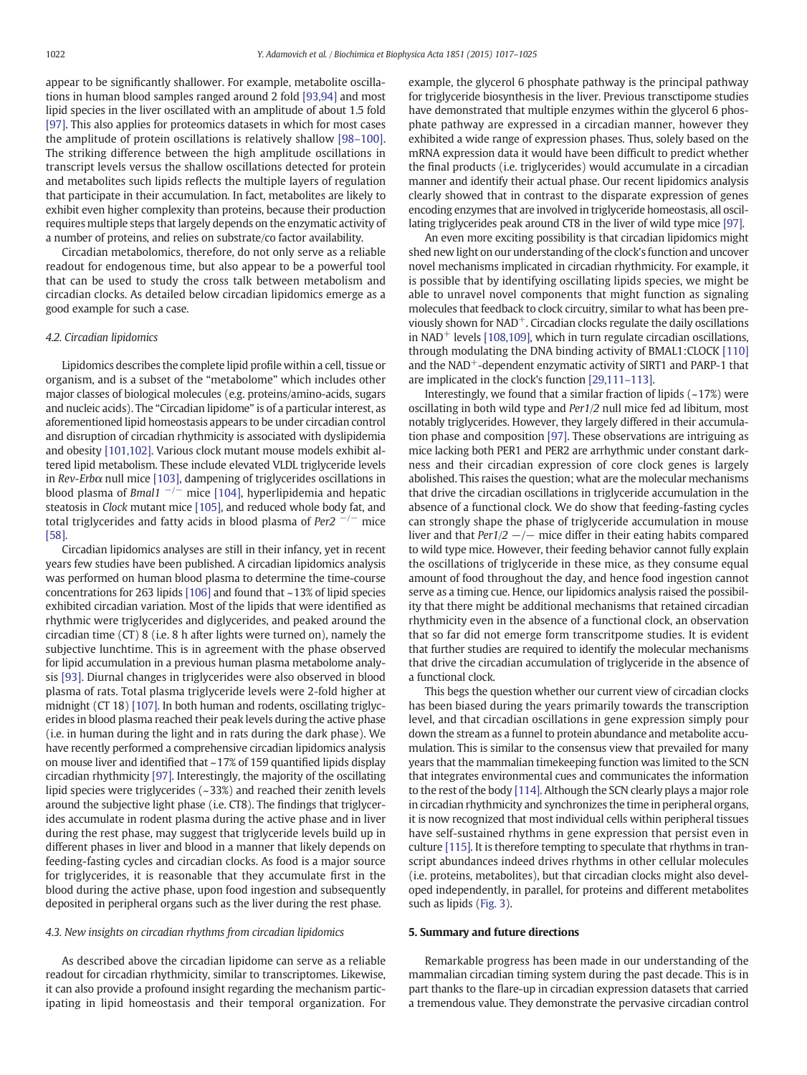appear to be significantly shallower. For example, metabolite oscillations in human blood samples ranged around 2 fold [\[93,94\]](#page-8-0) and most lipid species in the liver oscillated with an amplitude of about 1.5 fold [\[97\]](#page-8-0). This also applies for proteomics datasets in which for most cases the amplitude of protein oscillations is relatively shallow [98–[100\].](#page-8-0) The striking difference between the high amplitude oscillations in transcript levels versus the shallow oscillations detected for protein and metabolites such lipids reflects the multiple layers of regulation that participate in their accumulation. In fact, metabolites are likely to exhibit even higher complexity than proteins, because their production requires multiple steps that largely depends on the enzymatic activity of a number of proteins, and relies on substrate/co factor availability.

Circadian metabolomics, therefore, do not only serve as a reliable readout for endogenous time, but also appear to be a powerful tool that can be used to study the cross talk between metabolism and circadian clocks. As detailed below circadian lipidomics emerge as a good example for such a case.

#### 4.2. Circadian lipidomics

Lipidomics describes the complete lipid profile within a cell, tissue or organism, and is a subset of the "metabolome" which includes other major classes of biological molecules (e.g. proteins/amino-acids, sugars and nucleic acids). The "Circadian lipidome" is of a particular interest, as aforementioned lipid homeostasis appears to be under circadian control and disruption of circadian rhythmicity is associated with dyslipidemia and obesity [\[101,102\].](#page-8-0) Various clock mutant mouse models exhibit altered lipid metabolism. These include elevated VLDL triglyceride levels in  $Rev-Erb\alpha$  null mice [\[103\]](#page-8-0), dampening of triglycerides oscillations in blood plasma of Bmal1  $^{-/-}$  mice [\[104\],](#page-8-0) hyperlipidemia and hepatic steatosis in Clock mutant mice [\[105\],](#page-8-0) and reduced whole body fat, and total triglycerides and fatty acids in blood plasma of Per2  $^{-/-}$  mice [\[58\]](#page-7-0).

Circadian lipidomics analyses are still in their infancy, yet in recent years few studies have been published. A circadian lipidomics analysis was performed on human blood plasma to determine the time-course concentrations for 263 lipids [\[106\]](#page-8-0) and found that ~13% of lipid species exhibited circadian variation. Most of the lipids that were identified as rhythmic were triglycerides and diglycerides, and peaked around the circadian time (CT) 8 (i.e. 8 h after lights were turned on), namely the subjective lunchtime. This is in agreement with the phase observed for lipid accumulation in a previous human plasma metabolome analysis [\[93\]](#page-8-0). Diurnal changes in triglycerides were also observed in blood plasma of rats. Total plasma triglyceride levels were 2-fold higher at midnight (CT 18) [\[107\]](#page-8-0). In both human and rodents, oscillating triglycerides in blood plasma reached their peak levels during the active phase (i.e. in human during the light and in rats during the dark phase). We have recently performed a comprehensive circadian lipidomics analysis on mouse liver and identified that ~17% of 159 quantified lipids display circadian rhythmicity [\[97\].](#page-8-0) Interestingly, the majority of the oscillating lipid species were triglycerides (~33%) and reached their zenith levels around the subjective light phase (i.e. CT8). The findings that triglycerides accumulate in rodent plasma during the active phase and in liver during the rest phase, may suggest that triglyceride levels build up in different phases in liver and blood in a manner that likely depends on feeding-fasting cycles and circadian clocks. As food is a major source for triglycerides, it is reasonable that they accumulate first in the blood during the active phase, upon food ingestion and subsequently deposited in peripheral organs such as the liver during the rest phase.

#### 4.3. New insights on circadian rhythms from circadian lipidomics

As described above the circadian lipidome can serve as a reliable readout for circadian rhythmicity, similar to transcriptomes. Likewise, it can also provide a profound insight regarding the mechanism participating in lipid homeostasis and their temporal organization. For example, the glycerol 6 phosphate pathway is the principal pathway for triglyceride biosynthesis in the liver. Previous transctipome studies have demonstrated that multiple enzymes within the glycerol 6 phosphate pathway are expressed in a circadian manner, however they exhibited a wide range of expression phases. Thus, solely based on the mRNA expression data it would have been difficult to predict whether the final products (i.e. triglycerides) would accumulate in a circadian manner and identify their actual phase. Our recent lipidomics analysis clearly showed that in contrast to the disparate expression of genes encoding enzymes that are involved in triglyceride homeostasis, all oscillating triglycerides peak around CT8 in the liver of wild type mice [\[97\]](#page-8-0).

An even more exciting possibility is that circadian lipidomics might shed new light on our understanding of the clock's function and uncover novel mechanisms implicated in circadian rhythmicity. For example, it is possible that by identifying oscillating lipids species, we might be able to unravel novel components that might function as signaling molecules that feedback to clock circuitry, similar to what has been previously shown for  $NAD^+$ . Circadian clocks regulate the daily oscillations in NAD<sup>+</sup> levels  $[108,109]$ , which in turn regulate circadian oscillations, through modulating the DNA binding activity of BMAL1:CLOCK [\[110\]](#page-8-0) and the  $NAD^+$ -dependent enzymatic activity of SIRT1 and PARP-1 that are implicated in the clock's function [\[29,111](#page-7-0)–113].

Interestingly, we found that a similar fraction of lipids  $(-17%)$  were oscillating in both wild type and Per1/2 null mice fed ad libitum, most notably triglycerides. However, they largely differed in their accumulation phase and composition [\[97\].](#page-8-0) These observations are intriguing as mice lacking both PER1 and PER2 are arrhythmic under constant darkness and their circadian expression of core clock genes is largely abolished. This raises the question; what are the molecular mechanisms that drive the circadian oscillations in triglyceride accumulation in the absence of a functional clock. We do show that feeding-fasting cycles can strongly shape the phase of triglyceride accumulation in mouse liver and that  $Per1/2$   $-/-$  mice differ in their eating habits compared to wild type mice. However, their feeding behavior cannot fully explain the oscillations of triglyceride in these mice, as they consume equal amount of food throughout the day, and hence food ingestion cannot serve as a timing cue. Hence, our lipidomics analysis raised the possibility that there might be additional mechanisms that retained circadian rhythmicity even in the absence of a functional clock, an observation that so far did not emerge form transcritpome studies. It is evident that further studies are required to identify the molecular mechanisms that drive the circadian accumulation of triglyceride in the absence of a functional clock.

This begs the question whether our current view of circadian clocks has been biased during the years primarily towards the transcription level, and that circadian oscillations in gene expression simply pour down the stream as a funnel to protein abundance and metabolite accumulation. This is similar to the consensus view that prevailed for many years that the mammalian timekeeping function was limited to the SCN that integrates environmental cues and communicates the information to the rest of the body [\[114\].](#page-8-0) Although the SCN clearly plays a major role in circadian rhythmicity and synchronizes the time in peripheral organs, it is now recognized that most individual cells within peripheral tissues have self-sustained rhythms in gene expression that persist even in culture [\[115\]](#page-8-0). It is therefore tempting to speculate that rhythms in transcript abundances indeed drives rhythms in other cellular molecules (i.e. proteins, metabolites), but that circadian clocks might also developed independently, in parallel, for proteins and different metabolites such as lipids ([Fig. 3](#page-6-0)).

#### 5. Summary and future directions

Remarkable progress has been made in our understanding of the mammalian circadian timing system during the past decade. This is in part thanks to the flare-up in circadian expression datasets that carried a tremendous value. They demonstrate the pervasive circadian control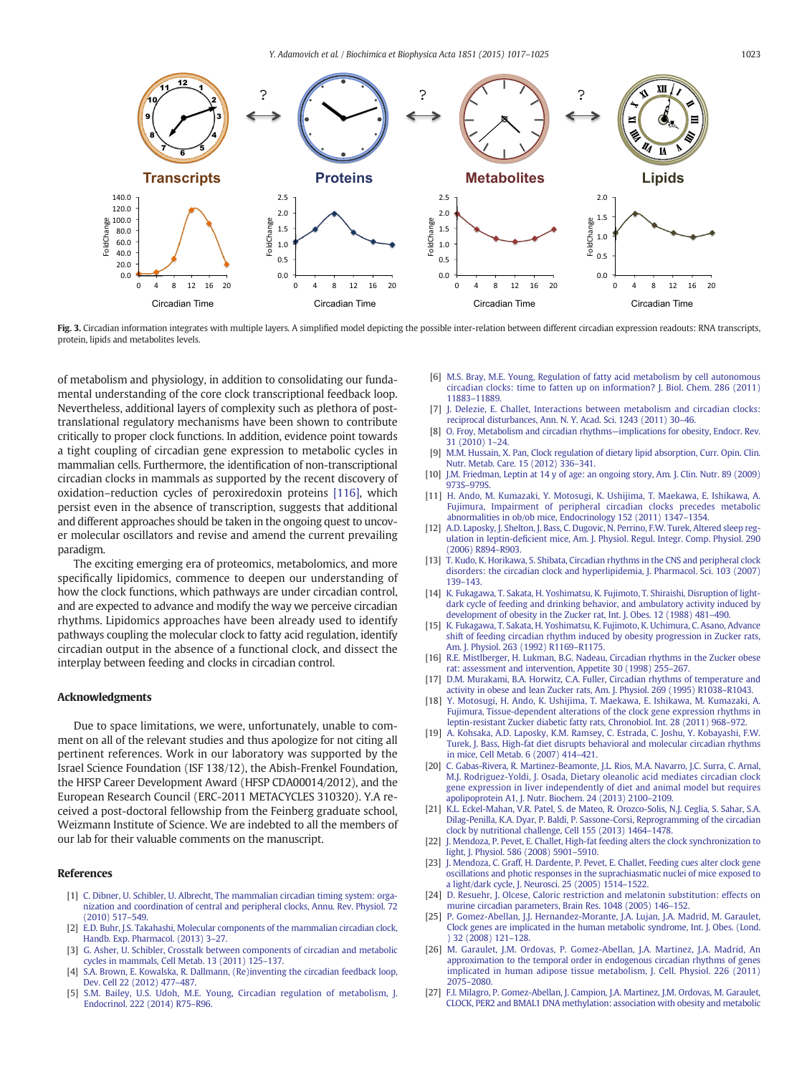<span id="page-6-0"></span>

Fig. 3. Circadian information integrates with multiple layers. A simplified model depicting the possible inter-relation between different circadian expression readouts: RNA transcripts, protein, lipids and metabolites levels.

of metabolism and physiology, in addition to consolidating our fundamental understanding of the core clock transcriptional feedback loop. Nevertheless, additional layers of complexity such as plethora of posttranslational regulatory mechanisms have been shown to contribute critically to proper clock functions. In addition, evidence point towards a tight coupling of circadian gene expression to metabolic cycles in mammalian cells. Furthermore, the identification of non-transcriptional circadian clocks in mammals as supported by the recent discovery of oxidation–reduction cycles of peroxiredoxin proteins [\[116\]](#page-8-0), which persist even in the absence of transcription, suggests that additional and different approaches should be taken in the ongoing quest to uncover molecular oscillators and revise and amend the current prevailing paradigm.

The exciting emerging era of proteomics, metabolomics, and more specifically lipidomics, commence to deepen our understanding of how the clock functions, which pathways are under circadian control, and are expected to advance and modify the way we perceive circadian rhythms. Lipidomics approaches have been already used to identify pathways coupling the molecular clock to fatty acid regulation, identify circadian output in the absence of a functional clock, and dissect the interplay between feeding and clocks in circadian control.

#### Acknowledgments

Due to space limitations, we were, unfortunately, unable to comment on all of the relevant studies and thus apologize for not citing all pertinent references. Work in our laboratory was supported by the Israel Science Foundation (ISF 138/12), the Abish-Frenkel Foundation, the HFSP Career Development Award (HFSP CDA00014/2012), and the European Research Council (ERC-2011 METACYCLES 310320). Y.A received a post-doctoral fellowship from the Feinberg graduate school, Weizmann Institute of Science. We are indebted to all the members of our lab for their valuable comments on the manuscript.

#### References

- [1] [C. Dibner, U. Schibler, U. Albrecht, The mammalian circadian timing system: orga](http://refhub.elsevier.com/S1388-1981(14)00252-2/rf0005)[nization and coordination of central and peripheral clocks, Annu. Rev. Physiol. 72](http://refhub.elsevier.com/S1388-1981(14)00252-2/rf0005) [\(2010\) 517](http://refhub.elsevier.com/S1388-1981(14)00252-2/rf0005)–549.
- [2] [E.D. Buhr, J.S. Takahashi, Molecular components of the mammalian circadian clock,](http://refhub.elsevier.com/S1388-1981(14)00252-2/rf0010) [Handb. Exp. Pharmacol. \(2013\) 3](http://refhub.elsevier.com/S1388-1981(14)00252-2/rf0010)–27.
- [3] [G. Asher, U. Schibler, Crosstalk between components of circadian and metabolic](http://refhub.elsevier.com/S1388-1981(14)00252-2/rf0015) [cycles in mammals, Cell Metab. 13 \(2011\) 125](http://refhub.elsevier.com/S1388-1981(14)00252-2/rf0015)–137.
- [4] [S.A. Brown, E. Kowalska, R. Dallmann, \(Re\)inventing the circadian feedback loop,](http://refhub.elsevier.com/S1388-1981(14)00252-2/rf0020) [Dev. Cell 22 \(2012\) 477](http://refhub.elsevier.com/S1388-1981(14)00252-2/rf0020)–487.
- [5] [S.M. Bailey, U.S. Udoh, M.E. Young, Circadian regulation of metabolism, J.](http://refhub.elsevier.com/S1388-1981(14)00252-2/rf0025) [Endocrinol. 222 \(2014\) R75](http://refhub.elsevier.com/S1388-1981(14)00252-2/rf0025)–R96.
- [6] [M.S. Bray, M.E. Young, Regulation of fatty acid metabolism by cell autonomous](http://refhub.elsevier.com/S1388-1981(14)00252-2/rf0030) [circadian clocks: time to fatten up on information? J. Biol. Chem. 286 \(2011\)](http://refhub.elsevier.com/S1388-1981(14)00252-2/rf0030) 11883–[11889.](http://refhub.elsevier.com/S1388-1981(14)00252-2/rf0030)
- [7] [J. Delezie, E. Challet, Interactions between metabolism and circadian clocks:](http://refhub.elsevier.com/S1388-1981(14)00252-2/rf0035) [reciprocal disturbances, Ann. N. Y. Acad. Sci. 1243 \(2011\) 30](http://refhub.elsevier.com/S1388-1981(14)00252-2/rf0035)–46.
- [8] [O. Froy, Metabolism and circadian rhythms](http://refhub.elsevier.com/S1388-1981(14)00252-2/rf0040)—implications for obesity, Endocr. Rev. [31 \(2010\) 1](http://refhub.elsevier.com/S1388-1981(14)00252-2/rf0040)–24.
- [9] [M.M. Hussain, X. Pan, Clock regulation of dietary lipid absorption, Curr. Opin. Clin.](http://refhub.elsevier.com/S1388-1981(14)00252-2/rf0045) [Nutr. Metab. Care. 15 \(2012\) 336](http://refhub.elsevier.com/S1388-1981(14)00252-2/rf0045)–341.
- [10] [J.M. Friedman, Leptin at 14 y of age: an ongoing story, Am. J. Clin. Nutr. 89 \(2009\)](http://refhub.elsevier.com/S1388-1981(14)00252-2/rf0050) 973S–[979S.](http://refhub.elsevier.com/S1388-1981(14)00252-2/rf0050)
- [11] [H. Ando, M. Kumazaki, Y. Motosugi, K. Ushijima, T. Maekawa, E. Ishikawa, A.](http://refhub.elsevier.com/S1388-1981(14)00252-2/rf0055) [Fujimura, Impairment of peripheral circadian clocks precedes metabolic](http://refhub.elsevier.com/S1388-1981(14)00252-2/rf0055) [abnormalities in ob/ob mice, Endocrinology 152 \(2011\) 1347](http://refhub.elsevier.com/S1388-1981(14)00252-2/rf0055)–1354.
- [12] [A.D. Laposky, J. Shelton, J. Bass, C. Dugovic, N. Perrino, F.W. Turek, Altered sleep reg](http://refhub.elsevier.com/S1388-1981(14)00252-2/rf0060)ulation in leptin-defi[cient mice, Am. J. Physiol. Regul. Integr. Comp. Physiol. 290](http://refhub.elsevier.com/S1388-1981(14)00252-2/rf0060) [\(2006\) R894](http://refhub.elsevier.com/S1388-1981(14)00252-2/rf0060)–R903.
- [13] [T. Kudo, K. Horikawa, S. Shibata, Circadian rhythms in the CNS and peripheral clock](http://refhub.elsevier.com/S1388-1981(14)00252-2/rf0065) [disorders: the circadian clock and hyperlipidemia, J. Pharmacol. Sci. 103 \(2007\)](http://refhub.elsevier.com/S1388-1981(14)00252-2/rf0065) [139](http://refhub.elsevier.com/S1388-1981(14)00252-2/rf0065)–143.
- [14] [K. Fukagawa, T. Sakata, H. Yoshimatsu, K. Fujimoto, T. Shiraishi, Disruption of light](http://refhub.elsevier.com/S1388-1981(14)00252-2/rf0070)[dark cycle of feeding and drinking behavior, and ambulatory activity induced by](http://refhub.elsevier.com/S1388-1981(14)00252-2/rf0070) [development of obesity in the Zucker rat, Int. J. Obes. 12 \(1988\) 481](http://refhub.elsevier.com/S1388-1981(14)00252-2/rf0070)–490.
- [15] [K. Fukagawa, T. Sakata, H. Yoshimatsu, K. Fujimoto, K. Uchimura, C. Asano, Advance](http://refhub.elsevier.com/S1388-1981(14)00252-2/rf0075) [shift of feeding circadian rhythm induced by obesity progression in Zucker rats,](http://refhub.elsevier.com/S1388-1981(14)00252-2/rf0075) [Am. J. Physiol. 263 \(1992\) R1169](http://refhub.elsevier.com/S1388-1981(14)00252-2/rf0075)–R1175.
- [16] [R.E. Mistlberger, H. Lukman, B.G. Nadeau, Circadian rhythms in the Zucker obese](http://refhub.elsevier.com/S1388-1981(14)00252-2/rf0080) [rat: assessment and intervention, Appetite 30 \(1998\) 255](http://refhub.elsevier.com/S1388-1981(14)00252-2/rf0080)–267.
- [17] [D.M. Murakami, B.A. Horwitz, C.A. Fuller, Circadian rhythms of temperature and](http://refhub.elsevier.com/S1388-1981(14)00252-2/rf0085) [activity in obese and lean Zucker rats, Am. J. Physiol. 269 \(1995\) R1038](http://refhub.elsevier.com/S1388-1981(14)00252-2/rf0085)–R1043.
- [18] [Y. Motosugi, H. Ando, K. Ushijima, T. Maekawa, E. Ishikawa, M. Kumazaki, A.](http://refhub.elsevier.com/S1388-1981(14)00252-2/rf0090) [Fujimura, Tissue-dependent alterations of the clock gene expression rhythms in](http://refhub.elsevier.com/S1388-1981(14)00252-2/rf0090) [leptin-resistant Zucker diabetic fatty rats, Chronobiol. Int. 28 \(2011\) 968](http://refhub.elsevier.com/S1388-1981(14)00252-2/rf0090)–972.
- [19] [A. Kohsaka, A.D. Laposky, K.M. Ramsey, C. Estrada, C. Joshu, Y. Kobayashi, F.W.](http://refhub.elsevier.com/S1388-1981(14)00252-2/rf0095) [Turek, J. Bass, High-fat diet disrupts behavioral and molecular circadian rhythms](http://refhub.elsevier.com/S1388-1981(14)00252-2/rf0095) [in mice, Cell Metab. 6 \(2007\) 414](http://refhub.elsevier.com/S1388-1981(14)00252-2/rf0095)–421.
- [20] [C. Gabas-Rivera, R. Martinez-Beamonte, J.L. Rios, M.A. Navarro, J.C. Surra, C. Arnal,](http://refhub.elsevier.com/S1388-1981(14)00252-2/rf0100) [M.J. Rodriguez-Yoldi, J. Osada, Dietary oleanolic acid mediates circadian clock](http://refhub.elsevier.com/S1388-1981(14)00252-2/rf0100) [gene expression in liver independently of diet and animal model but requires](http://refhub.elsevier.com/S1388-1981(14)00252-2/rf0100) [apolipoprotein A1, J. Nutr. Biochem. 24 \(2013\) 2100](http://refhub.elsevier.com/S1388-1981(14)00252-2/rf0100)–2109.
- [21] [K.L. Eckel-Mahan, V.R. Patel, S. de Mateo, R. Orozco-Solis, N.J. Ceglia, S. Sahar, S.A.](http://refhub.elsevier.com/S1388-1981(14)00252-2/rf0105) [Dilag-Penilla, K.A. Dyar, P. Baldi, P. Sassone-Corsi, Reprogramming of the circadian](http://refhub.elsevier.com/S1388-1981(14)00252-2/rf0105) [clock by nutritional challenge, Cell 155 \(2013\) 1464](http://refhub.elsevier.com/S1388-1981(14)00252-2/rf0105)–1478.
- [22] [J. Mendoza, P. Pevet, E. Challet, High-fat feeding alters the clock synchronization to](http://refhub.elsevier.com/S1388-1981(14)00252-2/rf0110) [light, J. Physiol. 586 \(2008\) 5901](http://refhub.elsevier.com/S1388-1981(14)00252-2/rf0110)–5910.
- [23] [J. Mendoza, C. Graff, H. Dardente, P. Pevet, E. Challet, Feeding cues alter clock gene](http://refhub.elsevier.com/S1388-1981(14)00252-2/rf0115) [oscillations and photic responses in the suprachiasmatic nuclei of mice exposed to](http://refhub.elsevier.com/S1388-1981(14)00252-2/rf0115) [a light/dark cycle, J. Neurosci. 25 \(2005\) 1514](http://refhub.elsevier.com/S1388-1981(14)00252-2/rf0115)–1522.
- [24] [D. Resuehr, J. Olcese, Caloric restriction and melatonin substitution: effects on](http://refhub.elsevier.com/S1388-1981(14)00252-2/rf0120) [murine circadian parameters, Brain Res. 1048 \(2005\) 146](http://refhub.elsevier.com/S1388-1981(14)00252-2/rf0120)–152.
- [25] [P. Gomez-Abellan, J.J. Hernandez-Morante, J.A. Lujan, J.A. Madrid, M. Garaulet,](http://refhub.elsevier.com/S1388-1981(14)00252-2/rf0125) [Clock genes are implicated in the human metabolic syndrome, Int. J. Obes. \(Lond.](http://refhub.elsevier.com/S1388-1981(14)00252-2/rf0125) [\) 32 \(2008\) 121](http://refhub.elsevier.com/S1388-1981(14)00252-2/rf0125)–128.
- [26] [M. Garaulet, J.M. Ordovas, P. Gomez-Abellan, J.A. Martinez, J.A. Madrid, An](http://refhub.elsevier.com/S1388-1981(14)00252-2/rf0130) [approximation to the temporal order in endogenous circadian rhythms of genes](http://refhub.elsevier.com/S1388-1981(14)00252-2/rf0130) [implicated in human adipose tissue metabolism, J. Cell. Physiol. 226 \(2011\)](http://refhub.elsevier.com/S1388-1981(14)00252-2/rf0130) [2075](http://refhub.elsevier.com/S1388-1981(14)00252-2/rf0130)–2080.
- [27] [F.I. Milagro, P. Gomez-Abellan, J. Campion, J.A. Martinez, J.M. Ordovas, M. Garaulet,](http://refhub.elsevier.com/S1388-1981(14)00252-2/rf0135) [CLOCK, PER2 and BMAL1 DNA methylation: association with obesity and metabolic](http://refhub.elsevier.com/S1388-1981(14)00252-2/rf0135)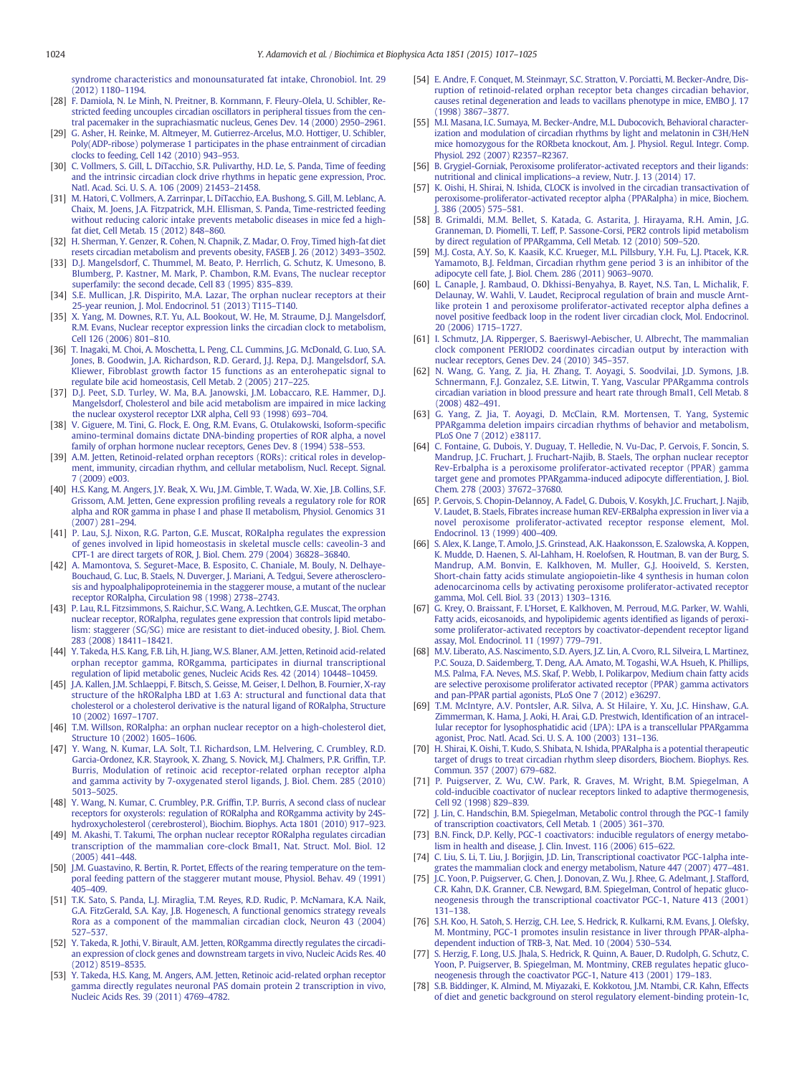<span id="page-7-0"></span>[syndrome characteristics and monounsaturated fat intake, Chronobiol. Int. 29](http://refhub.elsevier.com/S1388-1981(14)00252-2/rf0135) [\(2012\) 1180](http://refhub.elsevier.com/S1388-1981(14)00252-2/rf0135)–1194.

- [28] [F. Damiola, N. Le Minh, N. Preitner, B. Kornmann, F. Fleury-Olela, U. Schibler, Re](http://refhub.elsevier.com/S1388-1981(14)00252-2/rf0140)[stricted feeding uncouples circadian oscillators in peripheral tissues from the cen](http://refhub.elsevier.com/S1388-1981(14)00252-2/rf0140)[tral pacemaker in the suprachiasmatic nucleus, Genes Dev. 14 \(2000\) 2950](http://refhub.elsevier.com/S1388-1981(14)00252-2/rf0140)–2961.
- [29] [G. Asher, H. Reinke, M. Altmeyer, M. Gutierrez-Arcelus, M.O. Hottiger, U. Schibler,](http://refhub.elsevier.com/S1388-1981(14)00252-2/rf0145) [Poly\(ADP-ribose\) polymerase 1 participates in the phase entrainment of circadian](http://refhub.elsevier.com/S1388-1981(14)00252-2/rf0145) [clocks to feeding, Cell 142 \(2010\) 943](http://refhub.elsevier.com/S1388-1981(14)00252-2/rf0145)–953.
- [30] [C. Vollmers, S. Gill, L. DiTacchio, S.R. Pulivarthy, H.D. Le, S. Panda, Time of feeding](http://refhub.elsevier.com/S1388-1981(14)00252-2/rf0150) [and the intrinsic circadian clock drive rhythms in hepatic gene expression, Proc.](http://refhub.elsevier.com/S1388-1981(14)00252-2/rf0150) [Natl. Acad. Sci. U. S. A. 106 \(2009\) 21453](http://refhub.elsevier.com/S1388-1981(14)00252-2/rf0150)–21458.
- [31] [M. Hatori, C. Vollmers, A. Zarrinpar, L. DiTacchio, E.A. Bushong, S. Gill, M. Leblanc, A.](http://refhub.elsevier.com/S1388-1981(14)00252-2/rf0155) [Chaix, M. Joens, J.A. Fitzpatrick, M.H. Ellisman, S. Panda, Time-restricted feeding](http://refhub.elsevier.com/S1388-1981(14)00252-2/rf0155) [without reducing caloric intake prevents metabolic diseases in mice fed a high](http://refhub.elsevier.com/S1388-1981(14)00252-2/rf0155)[fat diet, Cell Metab. 15 \(2012\) 848](http://refhub.elsevier.com/S1388-1981(14)00252-2/rf0155)–860.
- [32] [H. Sherman, Y. Genzer, R. Cohen, N. Chapnik, Z. Madar, O. Froy, Timed high-fat diet](http://refhub.elsevier.com/S1388-1981(14)00252-2/rf0160) [resets circadian metabolism and prevents obesity, FASEB J. 26 \(2012\) 3493](http://refhub.elsevier.com/S1388-1981(14)00252-2/rf0160)–3502.
- [33] [D.J. Mangelsdorf, C. Thummel, M. Beato, P. Herrlich, G. Schutz, K. Umesono, B.](http://refhub.elsevier.com/S1388-1981(14)00252-2/rf0165) [Blumberg, P. Kastner, M. Mark, P. Chambon, R.M. Evans, The nuclear receptor](http://refhub.elsevier.com/S1388-1981(14)00252-2/rf0165) [superfamily: the second decade, Cell 83 \(1995\) 835](http://refhub.elsevier.com/S1388-1981(14)00252-2/rf0165)–839.
- [34] [S.E. Mullican, J.R. Dispirito, M.A. Lazar, The orphan nuclear receptors at their](http://refhub.elsevier.com/S1388-1981(14)00252-2/rf0170) [25-year reunion, J. Mol. Endocrinol. 51 \(2013\) T115](http://refhub.elsevier.com/S1388-1981(14)00252-2/rf0170)–T140.
- [35] [X. Yang, M. Downes, R.T. Yu, A.L. Bookout, W. He, M. Straume, D.J. Mangelsdorf,](http://refhub.elsevier.com/S1388-1981(14)00252-2/rf0175) [R.M. Evans, Nuclear receptor expression links the circadian clock to metabolism,](http://refhub.elsevier.com/S1388-1981(14)00252-2/rf0175) [Cell 126 \(2006\) 801](http://refhub.elsevier.com/S1388-1981(14)00252-2/rf0175)–810.
- [36] [T. Inagaki, M. Choi, A. Moschetta, L. Peng, C.L. Cummins, J.G. McDonald, G. Luo, S.A.](http://refhub.elsevier.com/S1388-1981(14)00252-2/rf0180) [Jones, B. Goodwin, J.A. Richardson, R.D. Gerard, J.J. Repa, D.J. Mangelsdorf, S.A.](http://refhub.elsevier.com/S1388-1981(14)00252-2/rf0180) [Kliewer, Fibroblast growth factor 15 functions as an enterohepatic signal to](http://refhub.elsevier.com/S1388-1981(14)00252-2/rf0180) [regulate bile acid homeostasis, Cell Metab. 2 \(2005\) 217](http://refhub.elsevier.com/S1388-1981(14)00252-2/rf0180)–225.
- [37] [D.J. Peet, S.D. Turley, W. Ma, B.A. Janowski, J.M. Lobaccaro, R.E. Hammer, D.J.](http://refhub.elsevier.com/S1388-1981(14)00252-2/rf0185) [Mangelsdorf, Cholesterol and bile acid metabolism are impaired in mice lacking](http://refhub.elsevier.com/S1388-1981(14)00252-2/rf0185) [the nuclear oxysterol receptor LXR alpha, Cell 93 \(1998\) 693](http://refhub.elsevier.com/S1388-1981(14)00252-2/rf0185)–704.
- [38] [V. Giguere, M. Tini, G. Flock, E. Ong, R.M. Evans, G. Otulakowski, Isoform-speci](http://refhub.elsevier.com/S1388-1981(14)00252-2/rf0190)fic [amino-terminal domains dictate DNA-binding properties of ROR alpha, a novel](http://refhub.elsevier.com/S1388-1981(14)00252-2/rf0190) [family of orphan hormone nuclear receptors, Genes Dev. 8 \(1994\) 538](http://refhub.elsevier.com/S1388-1981(14)00252-2/rf0190)–553.
- [39] [A.M. Jetten, Retinoid-related orphan receptors \(RORs\): critical roles in develop](http://refhub.elsevier.com/S1388-1981(14)00252-2/rf0195)[ment, immunity, circadian rhythm, and cellular metabolism, Nucl. Recept. Signal.](http://refhub.elsevier.com/S1388-1981(14)00252-2/rf0195) [7 \(2009\) e003](http://refhub.elsevier.com/S1388-1981(14)00252-2/rf0195).
- [40] [H.S. Kang, M. Angers, J.Y. Beak, X. Wu, J.M. Gimble, T. Wada, W. Xie, J.B. Collins, S.F.](http://refhub.elsevier.com/S1388-1981(14)00252-2/rf0200) [Grissom, A.M. Jetten, Gene expression pro](http://refhub.elsevier.com/S1388-1981(14)00252-2/rf0200)filing reveals a regulatory role for ROR [alpha and ROR gamma in phase I and phase II metabolism, Physiol. Genomics 31](http://refhub.elsevier.com/S1388-1981(14)00252-2/rf0200) [\(2007\) 281](http://refhub.elsevier.com/S1388-1981(14)00252-2/rf0200)–294.
- [41] [P. Lau, S.J. Nixon, R.G. Parton, G.E. Muscat, RORalpha regulates the expression](http://refhub.elsevier.com/S1388-1981(14)00252-2/rf0205) [of genes involved in lipid homeostasis in skeletal muscle cells: caveolin-3 and](http://refhub.elsevier.com/S1388-1981(14)00252-2/rf0205) [CPT-1 are direct targets of ROR, J. Biol. Chem. 279 \(2004\) 36828](http://refhub.elsevier.com/S1388-1981(14)00252-2/rf0205)–36840.
- [42] [A. Mamontova, S. Seguret-Mace, B. Esposito, C. Chaniale, M. Bouly, N. Delhaye-](http://refhub.elsevier.com/S1388-1981(14)00252-2/rf0210)[Bouchaud, G. Luc, B. Staels, N. Duverger, J. Mariani, A. Tedgui, Severe atherosclero](http://refhub.elsevier.com/S1388-1981(14)00252-2/rf0210)[sis and hypoalphalipoproteinemia in the staggerer mouse, a mutant of the nuclear](http://refhub.elsevier.com/S1388-1981(14)00252-2/rf0210) [receptor RORalpha, Circulation 98 \(1998\) 2738](http://refhub.elsevier.com/S1388-1981(14)00252-2/rf0210)–2743.
- [43] [P. Lau, R.L. Fitzsimmons, S. Raichur, S.C. Wang, A. Lechtken, G.E. Muscat, The orphan](http://refhub.elsevier.com/S1388-1981(14)00252-2/rf0215) [nuclear receptor, RORalpha, regulates gene expression that controls lipid metabo](http://refhub.elsevier.com/S1388-1981(14)00252-2/rf0215)lism: staggerer (SG/SG) mice are resistant to diet-induced obesity. I. Biol. Chem. [283 \(2008\) 18411](http://refhub.elsevier.com/S1388-1981(14)00252-2/rf0215)–18421.
- [44] [Y. Takeda, H.S. Kang, F.B. Lih, H. Jiang, W.S. Blaner, A.M. Jetten, Retinoid acid-related](http://refhub.elsevier.com/S1388-1981(14)00252-2/rf0220) [orphan receptor gamma, RORgamma, participates in diurnal transcriptional](http://refhub.elsevier.com/S1388-1981(14)00252-2/rf0220) [regulation of lipid metabolic genes, Nucleic Acids Res. 42 \(2014\) 10448](http://refhub.elsevier.com/S1388-1981(14)00252-2/rf0220)–10459.
- [45] [J.A. Kallen, J.M. Schlaeppi, F. Bitsch, S. Geisse, M. Geiser, I. Delhon, B. Fournier, X-ray](http://refhub.elsevier.com/S1388-1981(14)00252-2/rf0225) [structure of the hRORalpha LBD at 1.63 A: structural and functional data that](http://refhub.elsevier.com/S1388-1981(14)00252-2/rf0225) [cholesterol or a cholesterol derivative is the natural ligand of RORalpha, Structure](http://refhub.elsevier.com/S1388-1981(14)00252-2/rf0225) [10 \(2002\) 1697](http://refhub.elsevier.com/S1388-1981(14)00252-2/rf0225)–1707.
- [46] [T.M. Willson, RORalpha: an orphan nuclear receptor on a high-cholesterol diet,](http://refhub.elsevier.com/S1388-1981(14)00252-2/rf0230) [Structure 10 \(2002\) 1605](http://refhub.elsevier.com/S1388-1981(14)00252-2/rf0230)–1606.
- [47] [Y. Wang, N. Kumar, L.A. Solt, T.I. Richardson, L.M. Helvering, C. Crumbley, R.D.](http://refhub.elsevier.com/S1388-1981(14)00252-2/rf0235) [Garcia-Ordonez, K.R. Stayrook, X. Zhang, S. Novick, M.J. Chalmers, P.R. Grif](http://refhub.elsevier.com/S1388-1981(14)00252-2/rf0235)fin, T.P. [Burris, Modulation of retinoic acid receptor-related orphan receptor alpha](http://refhub.elsevier.com/S1388-1981(14)00252-2/rf0235) [and gamma activity by 7-oxygenated sterol ligands, J. Biol. Chem. 285 \(2010\)](http://refhub.elsevier.com/S1388-1981(14)00252-2/rf0235) [5013](http://refhub.elsevier.com/S1388-1981(14)00252-2/rf0235)–5025.
- [48] [Y. Wang, N. Kumar, C. Crumbley, P.R. Grif](http://refhub.elsevier.com/S1388-1981(14)00252-2/rf0240)fin, T.P. Burris, A second class of nuclear [receptors for oxysterols: regulation of RORalpha and RORgamma activity by 24S](http://refhub.elsevier.com/S1388-1981(14)00252-2/rf0240)[hydroxycholesterol \(cerebrosterol\), Biochim. Biophys. Acta 1801 \(2010\) 917](http://refhub.elsevier.com/S1388-1981(14)00252-2/rf0240)–923.
- [49] [M. Akashi, T. Takumi, The orphan nuclear receptor RORalpha regulates circadian](http://refhub.elsevier.com/S1388-1981(14)00252-2/rf0245) [transcription of the mammalian core-clock Bmal1, Nat. Struct. Mol. Biol. 12](http://refhub.elsevier.com/S1388-1981(14)00252-2/rf0245) [\(2005\) 441](http://refhub.elsevier.com/S1388-1981(14)00252-2/rf0245)–448.
- [50] [J.M. Guastavino, R. Bertin, R. Portet, Effects of the rearing temperature on the tem](http://refhub.elsevier.com/S1388-1981(14)00252-2/rf0250)[poral feeding pattern of the staggerer mutant mouse, Physiol. Behav. 49 \(1991\)](http://refhub.elsevier.com/S1388-1981(14)00252-2/rf0250) 405–[409.](http://refhub.elsevier.com/S1388-1981(14)00252-2/rf0250)
- [51] [T.K. Sato, S. Panda, L.J. Miraglia, T.M. Reyes, R.D. Rudic, P. McNamara, K.A. Naik,](http://refhub.elsevier.com/S1388-1981(14)00252-2/rf0255) [G.A. FitzGerald, S.A. Kay, J.B. Hogenesch, A functional genomics strategy reveals](http://refhub.elsevier.com/S1388-1981(14)00252-2/rf0255) [Rora as a component of the mammalian circadian clock, Neuron 43 \(2004\)](http://refhub.elsevier.com/S1388-1981(14)00252-2/rf0255) 527–[537.](http://refhub.elsevier.com/S1388-1981(14)00252-2/rf0255)
- [52] [Y. Takeda, R. Jothi, V. Birault, A.M. Jetten, RORgamma directly regulates the circadi](http://refhub.elsevier.com/S1388-1981(14)00252-2/rf0260)[an expression of clock genes and downstream targets in vivo, Nucleic Acids Res. 40](http://refhub.elsevier.com/S1388-1981(14)00252-2/rf0260) [\(2012\) 8519](http://refhub.elsevier.com/S1388-1981(14)00252-2/rf0260)–8535.
- [53] [Y. Takeda, H.S. Kang, M. Angers, A.M. Jetten, Retinoic acid-related orphan receptor](http://refhub.elsevier.com/S1388-1981(14)00252-2/rf0265) [gamma directly regulates neuronal PAS domain protein 2 transcription in vivo,](http://refhub.elsevier.com/S1388-1981(14)00252-2/rf0265) [Nucleic Acids Res. 39 \(2011\) 4769](http://refhub.elsevier.com/S1388-1981(14)00252-2/rf0265)–4782.
- [54] [E. Andre, F. Conquet, M. Steinmayr, S.C. Stratton, V. Porciatti, M. Becker-Andre, Dis](http://refhub.elsevier.com/S1388-1981(14)00252-2/rf0270)[ruption of retinoid-related orphan receptor beta changes circadian behavior,](http://refhub.elsevier.com/S1388-1981(14)00252-2/rf0270) [causes retinal degeneration and leads to vacillans phenotype in mice, EMBO J. 17](http://refhub.elsevier.com/S1388-1981(14)00252-2/rf0270) [\(1998\) 3867](http://refhub.elsevier.com/S1388-1981(14)00252-2/rf0270)–3877.
- [55] [M.I. Masana, I.C. Sumaya, M. Becker-Andre, M.L. Dubocovich, Behavioral character](http://refhub.elsevier.com/S1388-1981(14)00252-2/rf0275)[ization and modulation of circadian rhythms by light and melatonin in C3H/HeN](http://refhub.elsevier.com/S1388-1981(14)00252-2/rf0275) mice homozygous for the RORbeta knockout. Am. J. Physiol. Regul. Integr. Comp. [Physiol. 292 \(2007\) R2357](http://refhub.elsevier.com/S1388-1981(14)00252-2/rf0275)–R2367.
- [56] [B. Grygiel-Gorniak, Peroxisome proliferator-activated receptors and their ligands:](http://refhub.elsevier.com/S1388-1981(14)00252-2/rf0280) [nutritional and clinical implications](http://refhub.elsevier.com/S1388-1981(14)00252-2/rf0280)–a review, Nutr. J. 13 (2014) 17.
- [57] [K. Oishi, H. Shirai, N. Ishida, CLOCK is involved in the circadian transactivation of](http://refhub.elsevier.com/S1388-1981(14)00252-2/rf0285) [peroxisome-proliferator-activated receptor alpha \(PPARalpha\) in mice, Biochem.](http://refhub.elsevier.com/S1388-1981(14)00252-2/rf0285) [J. 386 \(2005\) 575](http://refhub.elsevier.com/S1388-1981(14)00252-2/rf0285)–581.
- [58] [B. Grimaldi, M.M. Bellet, S. Katada, G. Astarita, J. Hirayama, R.H. Amin, J.G.](http://refhub.elsevier.com/S1388-1981(14)00252-2/rf0290) [Granneman, D. Piomelli, T. Leff, P. Sassone-Corsi, PER2 controls lipid metabolism](http://refhub.elsevier.com/S1388-1981(14)00252-2/rf0290) [by direct regulation of PPARgamma, Cell Metab. 12 \(2010\) 509](http://refhub.elsevier.com/S1388-1981(14)00252-2/rf0290)–520.
- [59] [M.J. Costa, A.Y. So, K. Kaasik, K.C. Krueger, M.L. Pillsbury, Y.H. Fu, L.J. Ptacek, K.R.](http://refhub.elsevier.com/S1388-1981(14)00252-2/rf0295) [Yamamoto, B.J. Feldman, Circadian rhythm gene period 3 is an inhibitor of the](http://refhub.elsevier.com/S1388-1981(14)00252-2/rf0295) [adipocyte cell fate, J. Biol. Chem. 286 \(2011\) 9063](http://refhub.elsevier.com/S1388-1981(14)00252-2/rf0295)–9070.
- [60] [L. Canaple, J. Rambaud, O. Dkhissi-Benyahya, B. Rayet, N.S. Tan, L. Michalik, F.](http://refhub.elsevier.com/S1388-1981(14)00252-2/rf0300) [Delaunay, W. Wahli, V. Laudet, Reciprocal regulation of brain and muscle Arnt](http://refhub.elsevier.com/S1388-1981(14)00252-2/rf0300)[like protein 1 and peroxisome proliferator-activated receptor alpha de](http://refhub.elsevier.com/S1388-1981(14)00252-2/rf0300)fines a [novel positive feedback loop in the rodent liver circadian clock, Mol. Endocrinol.](http://refhub.elsevier.com/S1388-1981(14)00252-2/rf0300) [20 \(2006\) 1715](http://refhub.elsevier.com/S1388-1981(14)00252-2/rf0300)–1727.
- [61] [I. Schmutz, J.A. Ripperger, S. Baeriswyl-Aebischer, U. Albrecht, The mammalian](http://refhub.elsevier.com/S1388-1981(14)00252-2/rf0305) [clock component PERIOD2 coordinates circadian output by interaction with](http://refhub.elsevier.com/S1388-1981(14)00252-2/rf0305) [nuclear receptors, Genes Dev. 24 \(2010\) 345](http://refhub.elsevier.com/S1388-1981(14)00252-2/rf0305)–357.
- [62] [N. Wang, G. Yang, Z. Jia, H. Zhang, T. Aoyagi, S. Soodvilai, J.D. Symons, J.B.](http://refhub.elsevier.com/S1388-1981(14)00252-2/rf0310) [Schnermann, F.J. Gonzalez, S.E. Litwin, T. Yang, Vascular PPARgamma controls](http://refhub.elsevier.com/S1388-1981(14)00252-2/rf0310) [circadian variation in blood pressure and heart rate through Bmal1, Cell Metab. 8](http://refhub.elsevier.com/S1388-1981(14)00252-2/rf0310) [\(2008\) 482](http://refhub.elsevier.com/S1388-1981(14)00252-2/rf0310)–491.
- [63] [G. Yang, Z. Jia, T. Aoyagi, D. McClain, R.M. Mortensen, T. Yang, Systemic](http://refhub.elsevier.com/S1388-1981(14)00252-2/rf0315) [PPARgamma deletion impairs circadian rhythms of behavior and metabolism,](http://refhub.elsevier.com/S1388-1981(14)00252-2/rf0315) PLoS One 7 (2012) e38117
- [64] [C. Fontaine, G. Dubois, Y. Duguay, T. Helledie, N. Vu-Dac, P. Gervois, F. Soncin, S.](http://refhub.elsevier.com/S1388-1981(14)00252-2/rf0320) [Mandrup, J.C. Fruchart, J. Fruchart-Najib, B. Staels, The orphan nuclear receptor](http://refhub.elsevier.com/S1388-1981(14)00252-2/rf0320) [Rev-Erbalpha is a peroxisome proliferator-activated receptor \(PPAR\) gamma](http://refhub.elsevier.com/S1388-1981(14)00252-2/rf0320) [target gene and promotes PPARgamma-induced adipocyte differentiation, J. Biol.](http://refhub.elsevier.com/S1388-1981(14)00252-2/rf0320) [Chem. 278 \(2003\) 37672](http://refhub.elsevier.com/S1388-1981(14)00252-2/rf0320)–37680.
- [65] [P. Gervois, S. Chopin-Delannoy, A. Fadel, G. Dubois, V. Kosykh, J.C. Fruchart, J. Najib,](http://refhub.elsevier.com/S1388-1981(14)00252-2/rf0325) [V. Laudet, B. Staels, Fibrates increase human REV-ERBalpha expression in liver via a](http://refhub.elsevier.com/S1388-1981(14)00252-2/rf0325) [novel peroxisome proliferator-activated receptor response element, Mol.](http://refhub.elsevier.com/S1388-1981(14)00252-2/rf0325) [Endocrinol. 13 \(1999\) 400](http://refhub.elsevier.com/S1388-1981(14)00252-2/rf0325)–409.
- [66] [S. Alex, K. Lange, T. Amolo, J.S. Grinstead, A.K. Haakonsson, E. Szalowska, A. Koppen,](http://refhub.elsevier.com/S1388-1981(14)00252-2/rf0330) [K. Mudde, D. Haenen, S. Al-Lahham, H. Roelofsen, R. Houtman, B. van der Burg, S.](http://refhub.elsevier.com/S1388-1981(14)00252-2/rf0330) [Mandrup, A.M. Bonvin, E. Kalkhoven, M. Muller, G.J. Hooiveld, S. Kersten,](http://refhub.elsevier.com/S1388-1981(14)00252-2/rf0330) [Short-chain fatty acids stimulate angiopoietin-like 4 synthesis in human colon](http://refhub.elsevier.com/S1388-1981(14)00252-2/rf0330) [adenocarcinoma cells by activating peroxisome proliferator-activated receptor](http://refhub.elsevier.com/S1388-1981(14)00252-2/rf0330) [gamma, Mol. Cell. Biol. 33 \(2013\) 1303](http://refhub.elsevier.com/S1388-1981(14)00252-2/rf0330)–1316.
- [67] [G. Krey, O. Braissant, F. L'Horset, E. Kalkhoven, M. Perroud, M.G. Parker, W. Wahli,](http://refhub.elsevier.com/S1388-1981(14)00252-2/rf0335) [Fatty acids, eicosanoids, and hypolipidemic agents identi](http://refhub.elsevier.com/S1388-1981(14)00252-2/rf0335)fied as ligands of peroxi[some proliferator-activated receptors by coactivator-dependent receptor ligand](http://refhub.elsevier.com/S1388-1981(14)00252-2/rf0335) [assay, Mol. Endocrinol. 11 \(1997\) 779](http://refhub.elsevier.com/S1388-1981(14)00252-2/rf0335)–791.
- [68] [M.V. Liberato, A.S. Nascimento, S.D. Ayers, J.Z. Lin, A. Cvoro, R.L. Silveira, L. Martinez,](http://refhub.elsevier.com/S1388-1981(14)00252-2/rf0340) [P.C. Souza, D. Saidemberg, T. Deng, A.A. Amato, M. Togashi, W.A. Hsueh, K. Phillips,](http://refhub.elsevier.com/S1388-1981(14)00252-2/rf0340) [M.S. Palma, F.A. Neves, M.S. Skaf, P. Webb, I. Polikarpov, Medium chain fatty acids](http://refhub.elsevier.com/S1388-1981(14)00252-2/rf0340) [are selective peroxisome proliferator activated receptor \(PPAR\) gamma activators](http://refhub.elsevier.com/S1388-1981(14)00252-2/rf0340) [and pan-PPAR partial agonists, PLoS One 7 \(2012\) e36297](http://refhub.elsevier.com/S1388-1981(14)00252-2/rf0340).
- [69] [T.M. McIntyre, A.V. Pontsler, A.R. Silva, A. St Hilaire, Y. Xu, J.C. Hinshaw, G.A.](http://refhub.elsevier.com/S1388-1981(14)00252-2/rf0345) [Zimmerman, K. Hama, J. Aoki, H. Arai, G.D. Prestwich, Identi](http://refhub.elsevier.com/S1388-1981(14)00252-2/rf0345)fication of an intracel[lular receptor for lysophosphatidic acid \(LPA\): LPA is a transcellular PPARgamma](http://refhub.elsevier.com/S1388-1981(14)00252-2/rf0345) [agonist, Proc. Natl. Acad. Sci. U. S. A. 100 \(2003\) 131](http://refhub.elsevier.com/S1388-1981(14)00252-2/rf0345)–136.
- [70] [H. Shirai, K. Oishi, T. Kudo, S. Shibata, N. Ishida, PPARalpha is a potential therapeutic](http://refhub.elsevier.com/S1388-1981(14)00252-2/rf0350) [target of drugs to treat circadian rhythm sleep disorders, Biochem. Biophys. Res.](http://refhub.elsevier.com/S1388-1981(14)00252-2/rf0350) [Commun. 357 \(2007\) 679](http://refhub.elsevier.com/S1388-1981(14)00252-2/rf0350)–682.
- [71] [P. Puigserver, Z. Wu, C.W. Park, R. Graves, M. Wright, B.M. Spiegelman, A](http://refhub.elsevier.com/S1388-1981(14)00252-2/rf0355) [cold-inducible coactivator of nuclear receptors linked to adaptive thermogenesis,](http://refhub.elsevier.com/S1388-1981(14)00252-2/rf0355) [Cell 92 \(1998\) 829](http://refhub.elsevier.com/S1388-1981(14)00252-2/rf0355)–839.
- [72] [J. Lin, C. Handschin, B.M. Spiegelman, Metabolic control through the PGC-1 family](http://refhub.elsevier.com/S1388-1981(14)00252-2/rf0360) [of transcription coactivators, Cell Metab. 1 \(2005\) 361](http://refhub.elsevier.com/S1388-1981(14)00252-2/rf0360)–370.
- [73] [B.N. Finck, D.P. Kelly, PGC-1 coactivators: inducible regulators of energy metabo](http://refhub.elsevier.com/S1388-1981(14)00252-2/rf0365)[lism in health and disease, J. Clin. Invest. 116 \(2006\) 615](http://refhub.elsevier.com/S1388-1981(14)00252-2/rf0365)–622.
- [74] [C. Liu, S. Li, T. Liu, J. Borjigin, J.D. Lin, Transcriptional coactivator PGC-1alpha inte](http://refhub.elsevier.com/S1388-1981(14)00252-2/rf0370)[grates the mammalian clock and energy metabolism, Nature 447 \(2007\) 477](http://refhub.elsevier.com/S1388-1981(14)00252-2/rf0370)–481.
- [75] [J.C. Yoon, P. Puigserver, G. Chen, J. Donovan, Z. Wu, J. Rhee, G. Adelmant, J. Stafford,](http://refhub.elsevier.com/S1388-1981(14)00252-2/rf0375) [C.R. Kahn, D.K. Granner, C.B. Newgard, B.M. Spiegelman, Control of hepatic gluco](http://refhub.elsevier.com/S1388-1981(14)00252-2/rf0375)[neogenesis through the transcriptional coactivator PGC-1, Nature 413 \(2001\)](http://refhub.elsevier.com/S1388-1981(14)00252-2/rf0375) 131–[138.](http://refhub.elsevier.com/S1388-1981(14)00252-2/rf0375)
- [76] [S.H. Koo, H. Satoh, S. Herzig, C.H. Lee, S. Hedrick, R. Kulkarni, R.M. Evans, J. Olefsky,](http://refhub.elsevier.com/S1388-1981(14)00252-2/rf0380) [M. Montminy, PGC-1 promotes insulin resistance in liver through PPAR-alpha](http://refhub.elsevier.com/S1388-1981(14)00252-2/rf0380)[dependent induction of TRB-3, Nat. Med. 10 \(2004\) 530](http://refhub.elsevier.com/S1388-1981(14)00252-2/rf0380)–534.
- [77] [S. Herzig, F. Long, U.S. Jhala, S. Hedrick, R. Quinn, A. Bauer, D. Rudolph, G. Schutz, C.](http://refhub.elsevier.com/S1388-1981(14)00252-2/rf0385) [Yoon, P. Puigserver, B. Spiegelman, M. Montminy, CREB regulates hepatic gluco](http://refhub.elsevier.com/S1388-1981(14)00252-2/rf0385)[neogenesis through the coactivator PGC-1, Nature 413 \(2001\) 179](http://refhub.elsevier.com/S1388-1981(14)00252-2/rf0385)–183.
- [78] [S.B. Biddinger, K. Almind, M. Miyazaki, E. Kokkotou, J.M. Ntambi, C.R. Kahn, Effects](http://refhub.elsevier.com/S1388-1981(14)00252-2/rf0390) [of diet and genetic background on sterol regulatory element-binding protein-1c,](http://refhub.elsevier.com/S1388-1981(14)00252-2/rf0390)